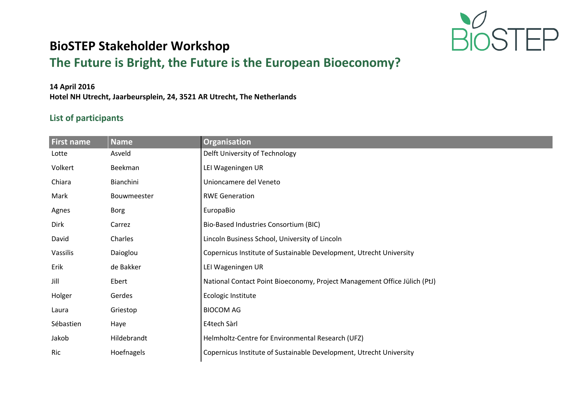

## **BioSTEP Stakeholder Workshop**

## **The Future is Bright, the Future is the European Bioeconomy?**

## **14 April 2016**

**Hotel NH Utrecht, Jaarbeursplein, 24, 3521 AR Utrecht, The Netherlands**

## **List of participants**

| First name  | <b>Name</b> | Organisation                                                              |  |
|-------------|-------------|---------------------------------------------------------------------------|--|
| Lotte       | Asveld      | Delft University of Technology                                            |  |
| Volkert     | Beekman     | LEI Wageningen UR                                                         |  |
| Chiara      | Bianchini   | Unioncamere del Veneto                                                    |  |
| Mark        | Bouwmeester | <b>RWE Generation</b>                                                     |  |
| Agnes       | Borg        | EuropaBio                                                                 |  |
| <b>Dirk</b> | Carrez      | Bio-Based Industries Consortium (BIC)                                     |  |
| David       | Charles     | Lincoln Business School, University of Lincoln                            |  |
| Vassilis    | Daioglou    | Copernicus Institute of Sustainable Development, Utrecht University       |  |
| Erik        | de Bakker   | LEI Wageningen UR                                                         |  |
| Jill        | Ebert       | National Contact Point Bioeconomy, Project Management Office Jülich (PtJ) |  |
| Holger      | Gerdes      | Ecologic Institute                                                        |  |
| Laura       | Griestop    | <b>BIOCOM AG</b>                                                          |  |
| Sébastien   | Haye        | E4tech Sàrl                                                               |  |
| Jakob       | Hildebrandt | Helmholtz-Centre for Environmental Research (UFZ)                         |  |
| <b>Ric</b>  | Hoefnagels  | Copernicus Institute of Sustainable Development, Utrecht University       |  |